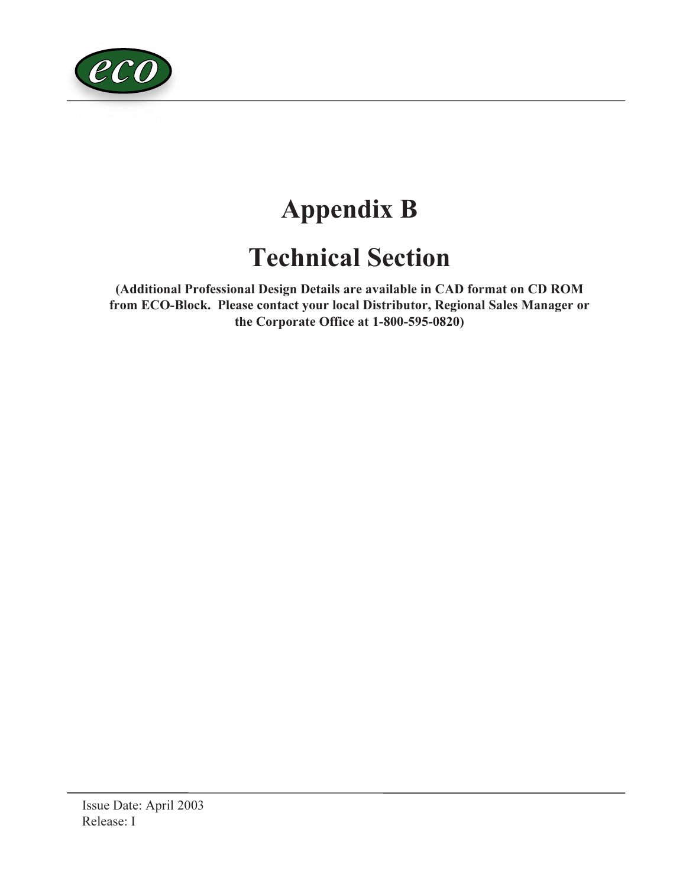

# Appendix B

# Technical Section

(Additional Professional Design Details are available in CAD format on CD ROM from ECO-Block. Please contact your local Distributor, Regional Sales Manager or the Corporate Office at 1-800-595-0820)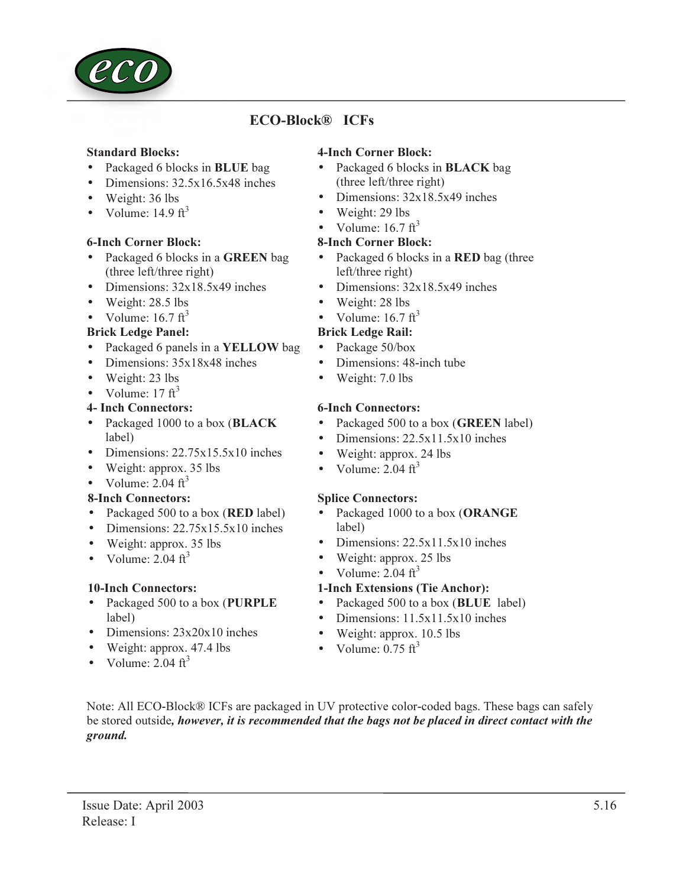

# ECO-Block® ICFs

#### Standard Blocks:

- Packaged 6 blocks in **BLUE** bag
- Dimensions: 32.5x16.5x48 inches
- Weight: 36 lbs
- Volume:  $14.9 \text{ ft}^3$

#### 6-Inch Corner Block:

- Packaged 6 blocks in a GREEN bag (three left/three right)
- Dimensions:  $32x18.5x49$  inches
- Weight: 28.5 lbs
- Volume:  $16.7 \text{ ft}^3$

#### Brick Ledge Panel:

- Packaged 6 panels in a **YELLOW** bag
- Dimensions:  $35x18x48$  inches
- Weight: 23 lbs
- Volume:  $17 \text{ ft}^3$

#### 4- Inch Connectors:

- Packaged 1000 to a box (BLACK label)
- Dimensions: 22.75x15.5x10 inches
- Weight: approx. 35 lbs
- Volume:  $2.04 \text{ ft}^3$

### 8-Inch Connectors:

- Packaged 500 to a box (**RED** label)
- Dimensions: 22.75x15.5x10 inches
- Weight: approx. 35 lbs
- Volume:  $2.04 \text{ ft}^3$

### 10-Inch Connectors:

- Packaged 500 to a box (PURPLE label)
- Dimensions:  $23x20x10$  inches
- Weight: approx. 47.4 lbs
- Volume:  $2.04 \text{ ft}^3$

## 4-Inch Corner Block:

- Packaged 6 blocks in **BLACK** bag (three left/three right)
- Dimensions:  $32x18.5x49$  inches
- Weight: 29 lbs
- Volume:  $16.7 \text{ ft}^3$

#### 8-Inch Corner Block:

- Packaged 6 blocks in a **RED** bag (three left/three right)
- Dimensions:  $32x18.5x49$  inches
- Weight: 28 lbs
- Volume:  $16.7 \text{ ft}^3$

### Brick Ledge Rail:

- Package 50/box
- Dimensions: 48-inch tube
- Weight: 7.0 lbs

#### 6-Inch Connectors:

- Packaged 500 to a box (**GREEN** label)
- Dimensions: 22.5x11.5x10 inches
- Weight: approx. 24 lbs
- Volume:  $2.04 \text{ ft}^3$

#### Splice Connectors:

- Packaged 1000 to a box (ORANGE label)
- Dimensions: 22.5x11.5x10 inches
- Weight: approx. 25 lbs
- Volume:  $2.04 \text{ ft}^3$

### 1-Inch Extensions (Tie Anchor):

- Packaged 500 to a box (**BLUE** label)
- Dimensions: 11.5x11.5x10 inches
- Weight: approx. 10.5 lbs
- Volume:  $0.75 \text{ ft}^3$

Note: All ECO-Block® ICFs are packaged in UV protective color-coded bags. These bags can safely be stored outside, however, it is recommended that the bags not be placed in direct contact with the ground.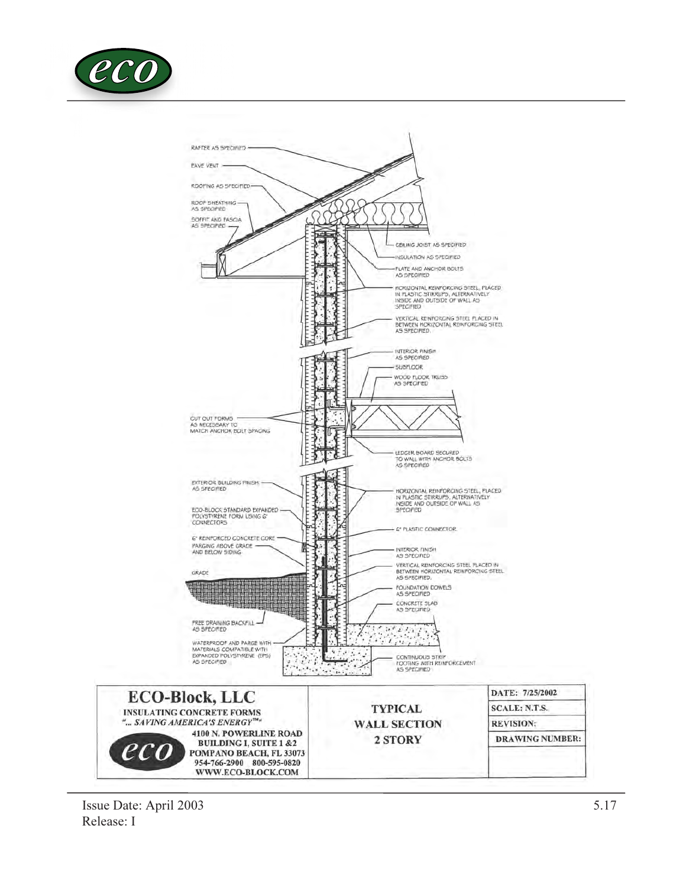

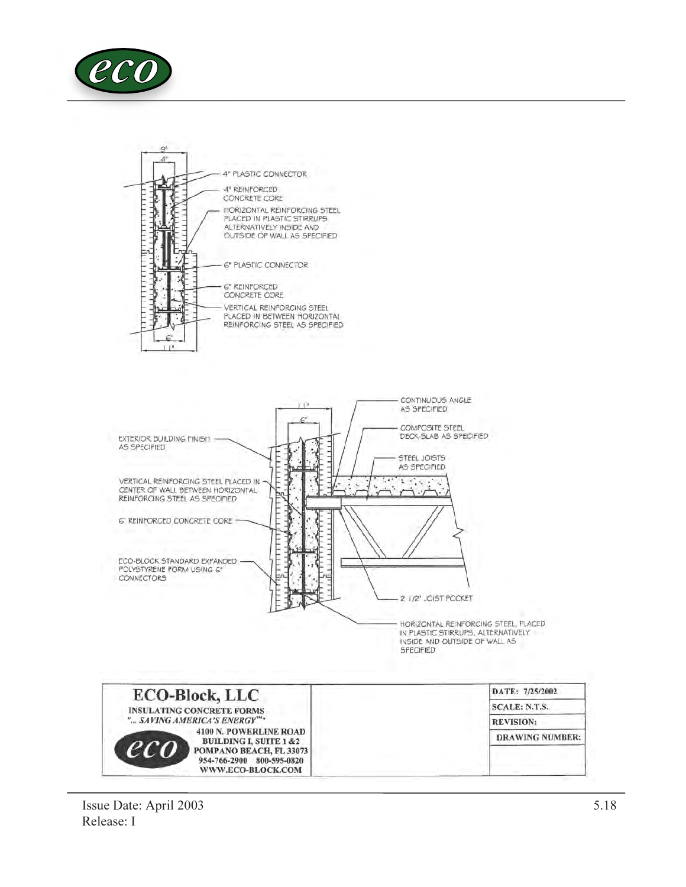





HORIZONTAL REINFORCING STEEL, PLACED IN PLASTIC STIRRUPS, ALTERNATIVELY INSIDE AND OUTSIDE OF WALL AS SPECIFIED

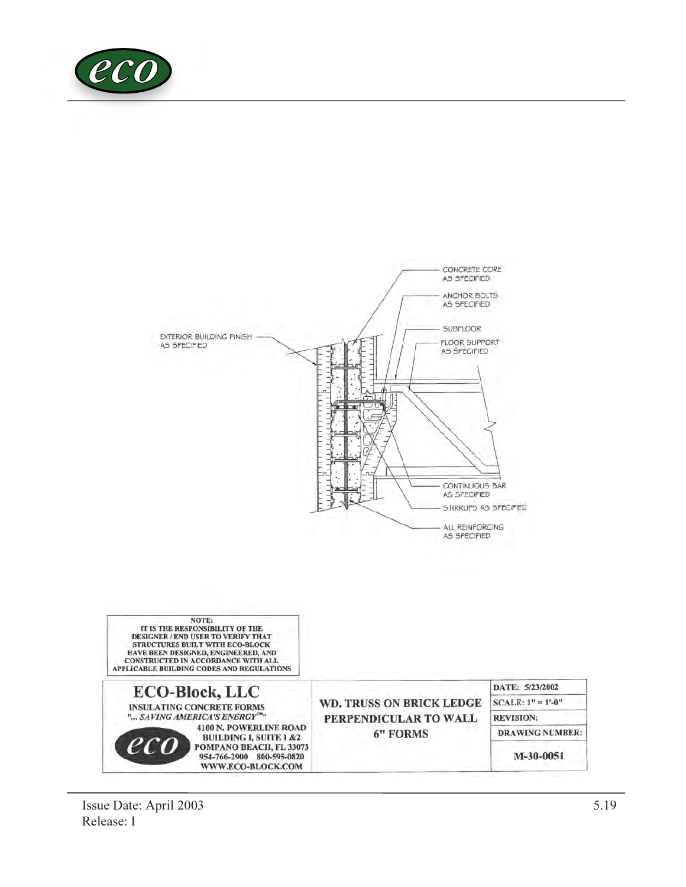

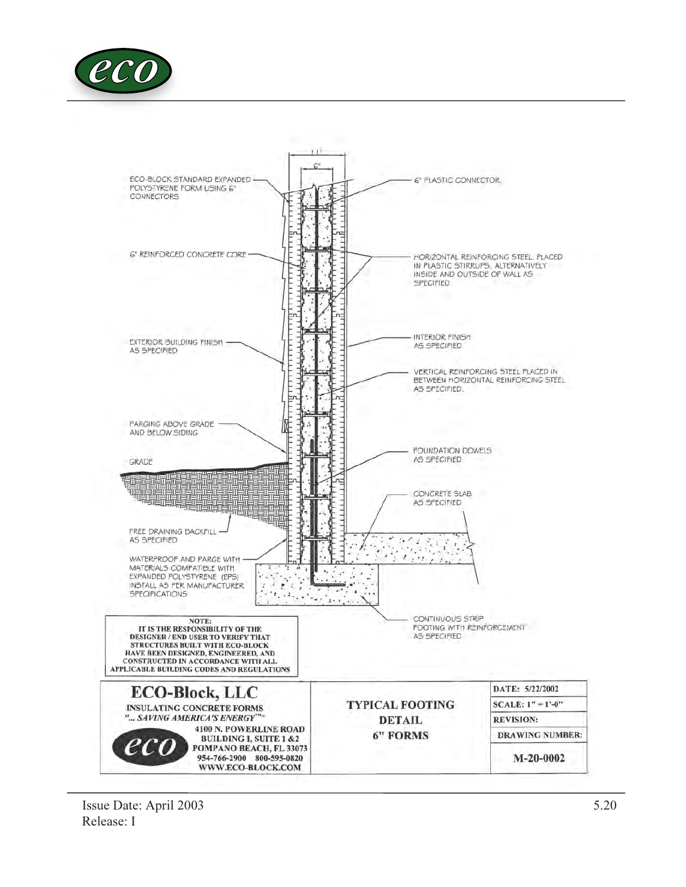

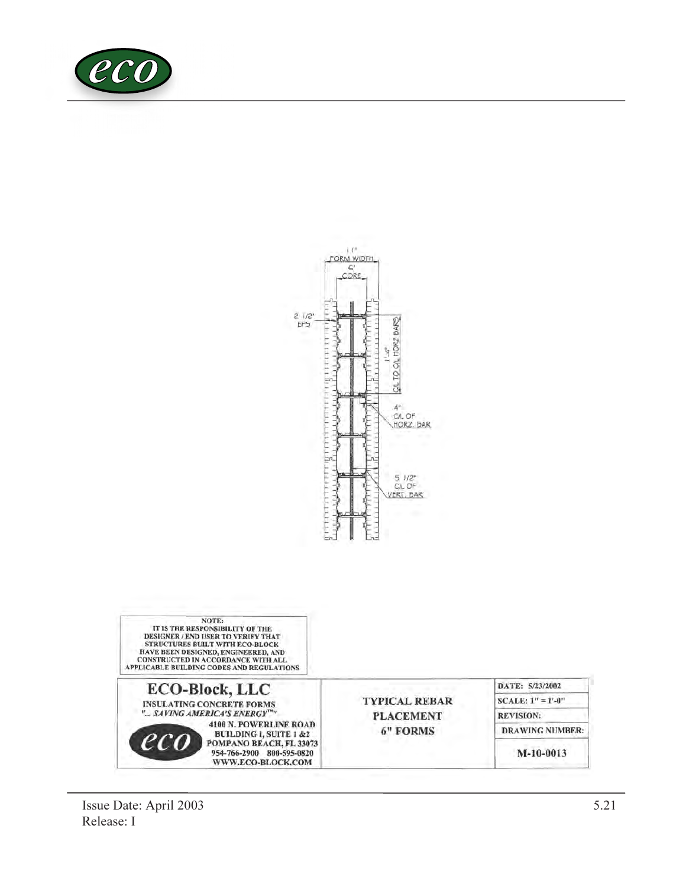



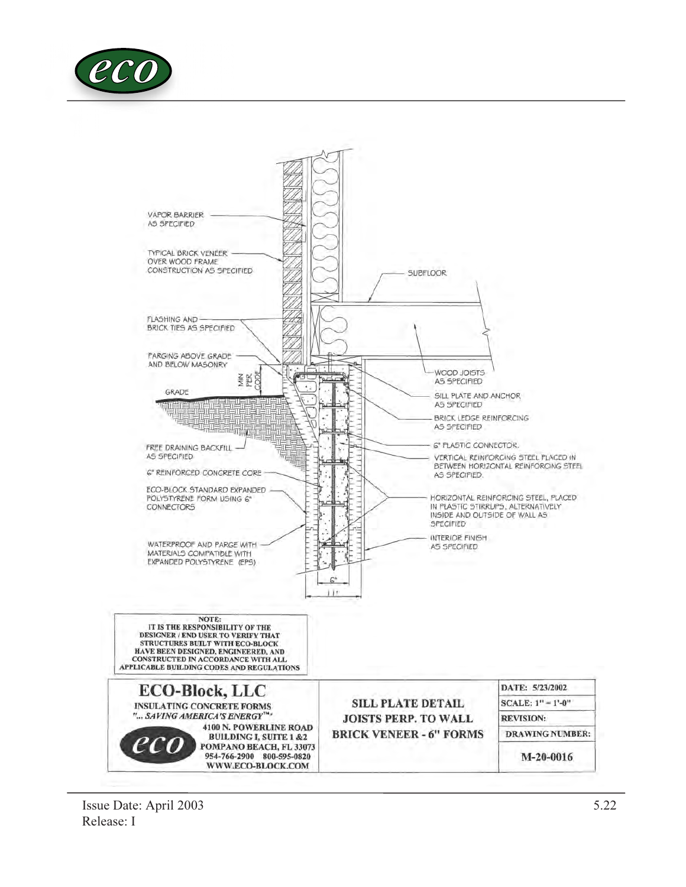

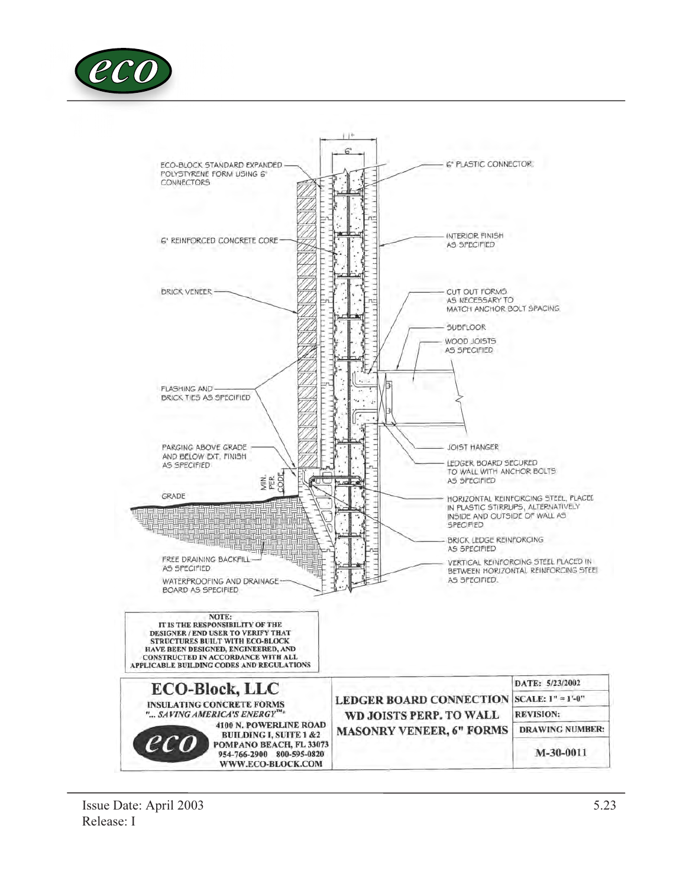

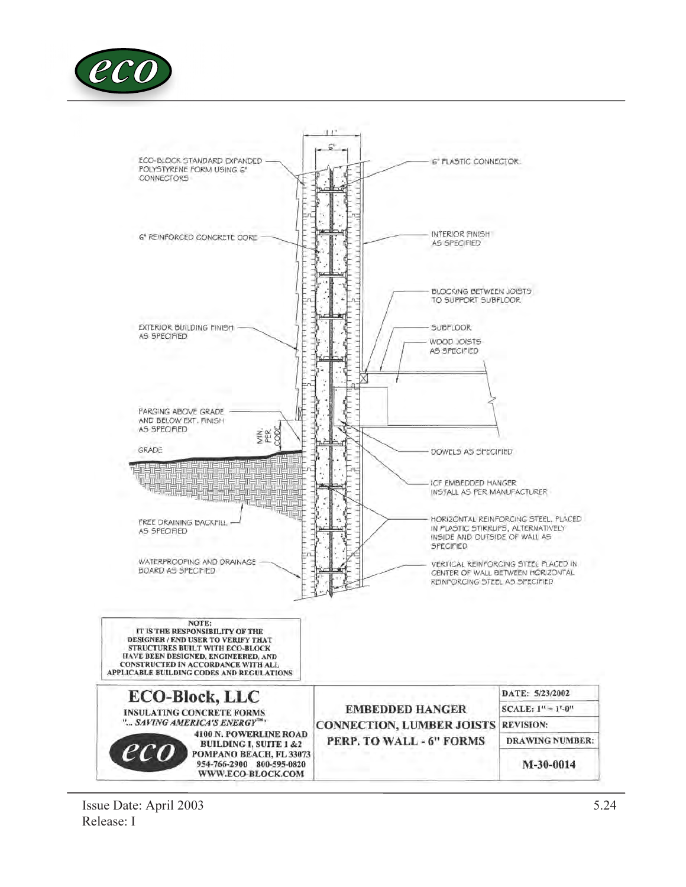

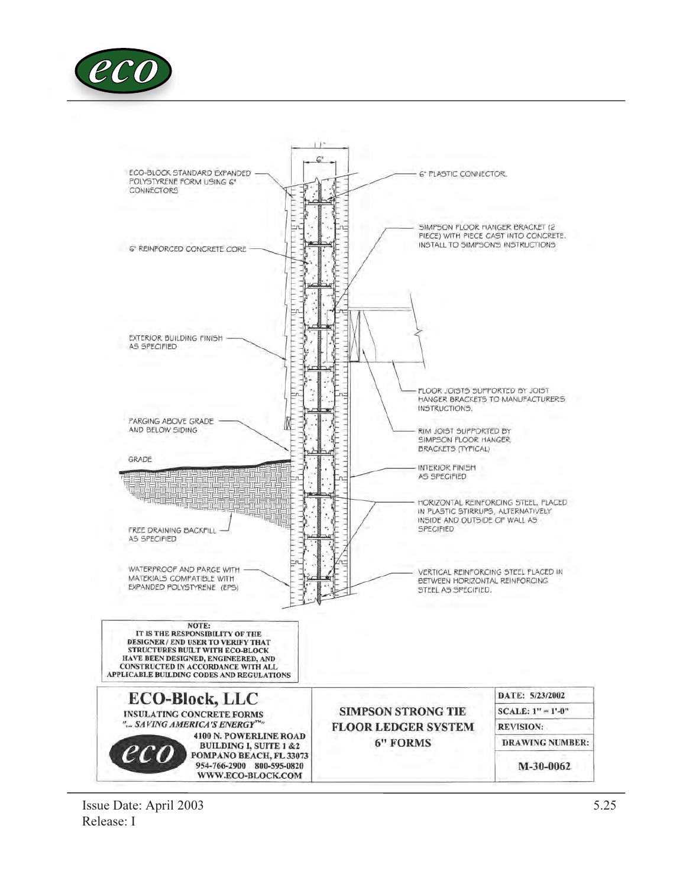

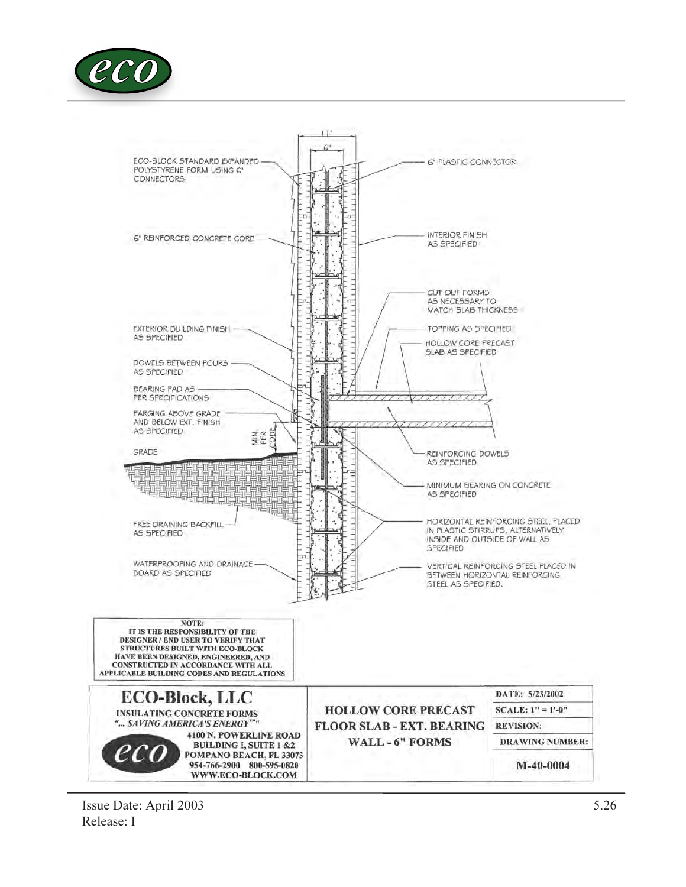

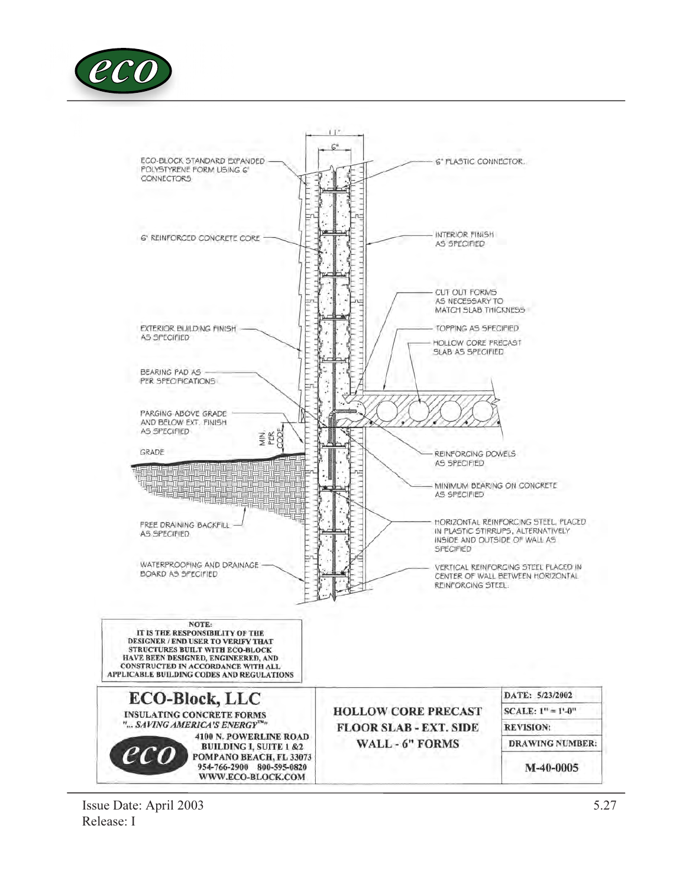

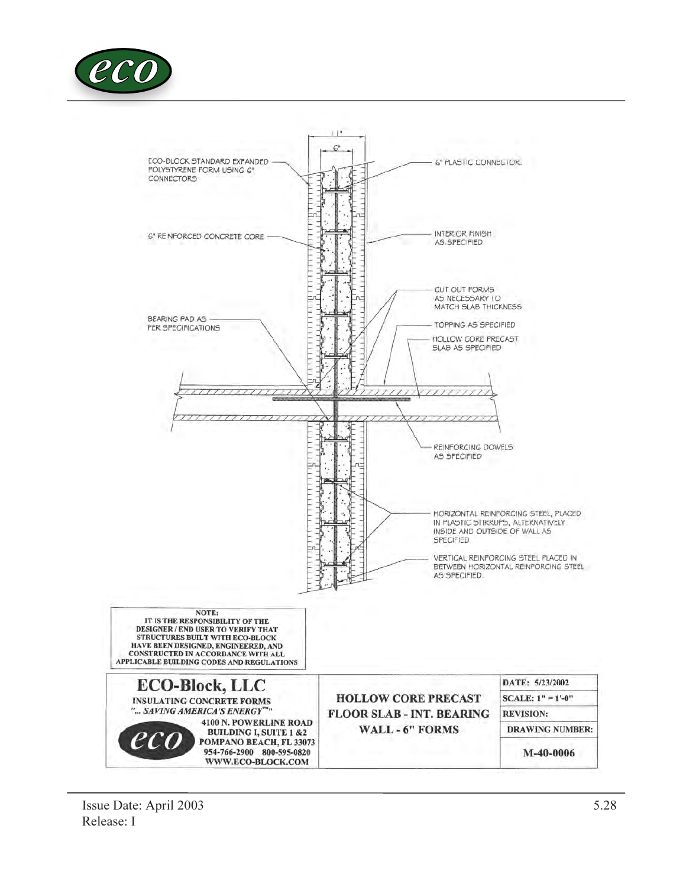

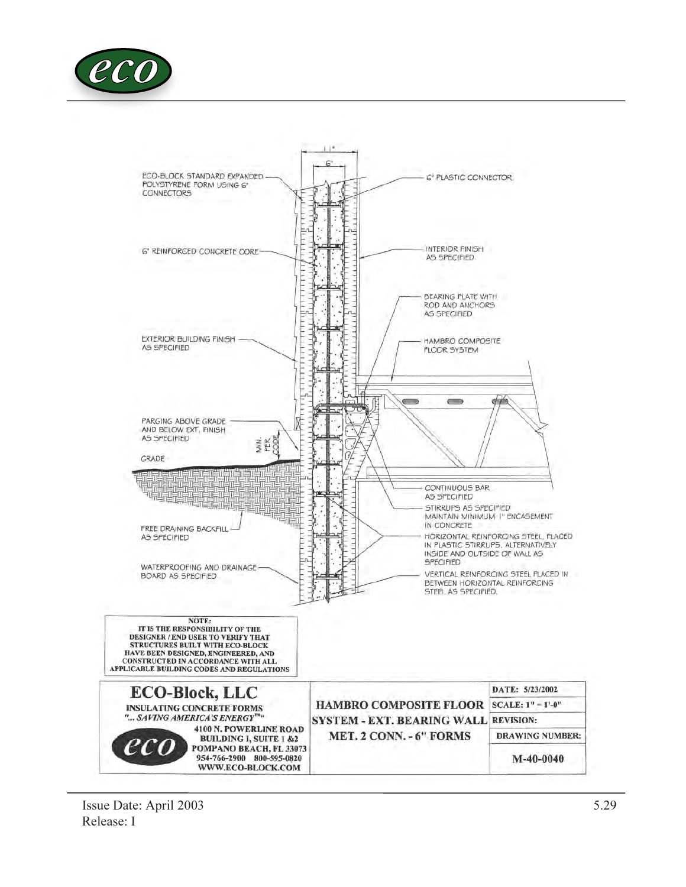

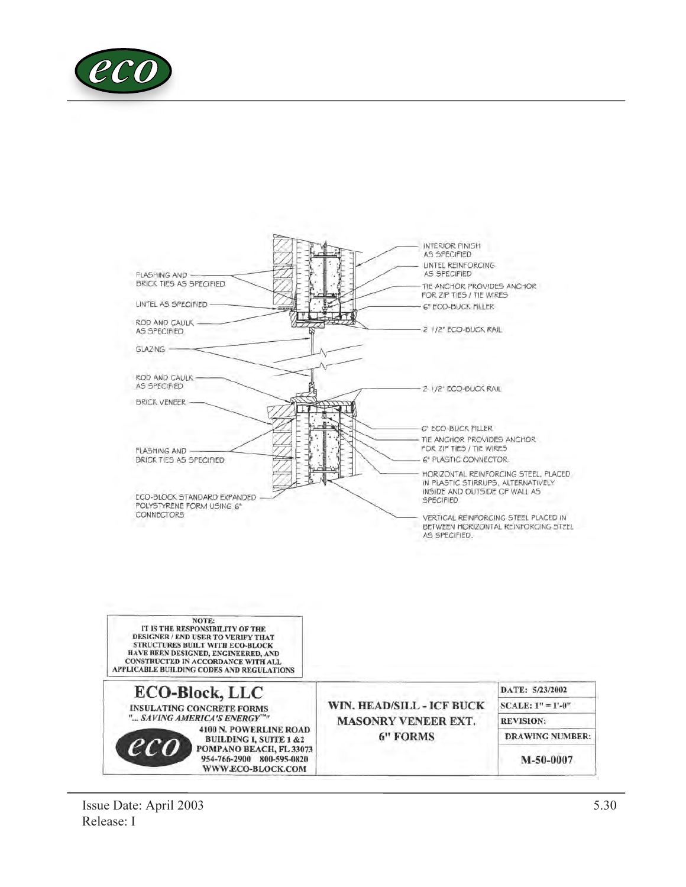

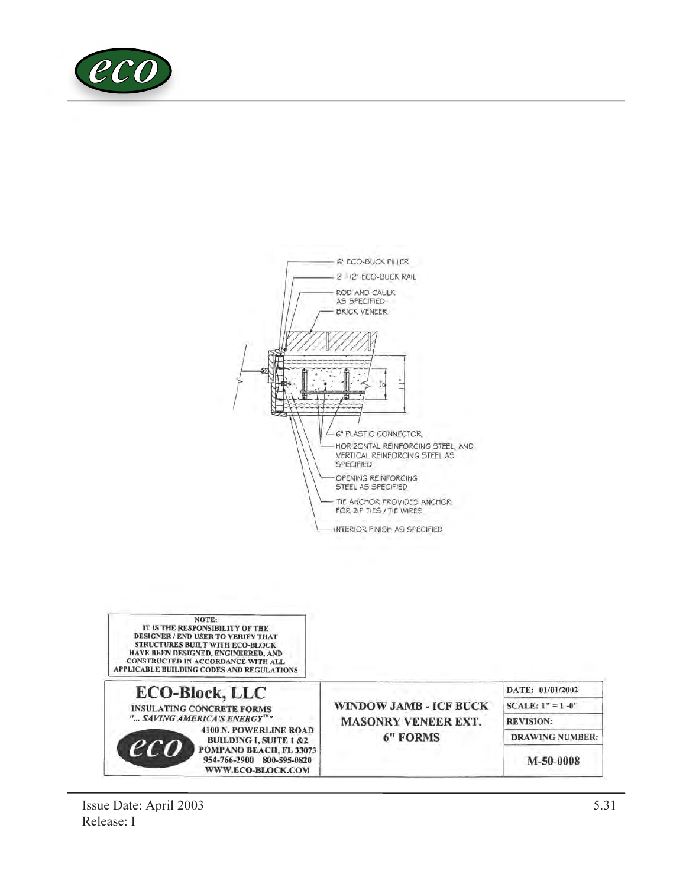



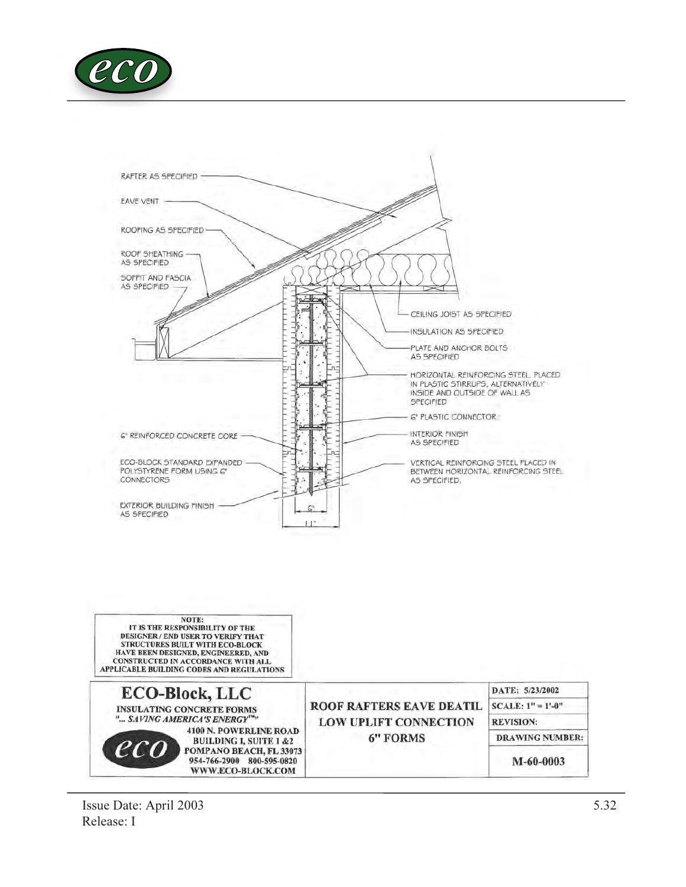

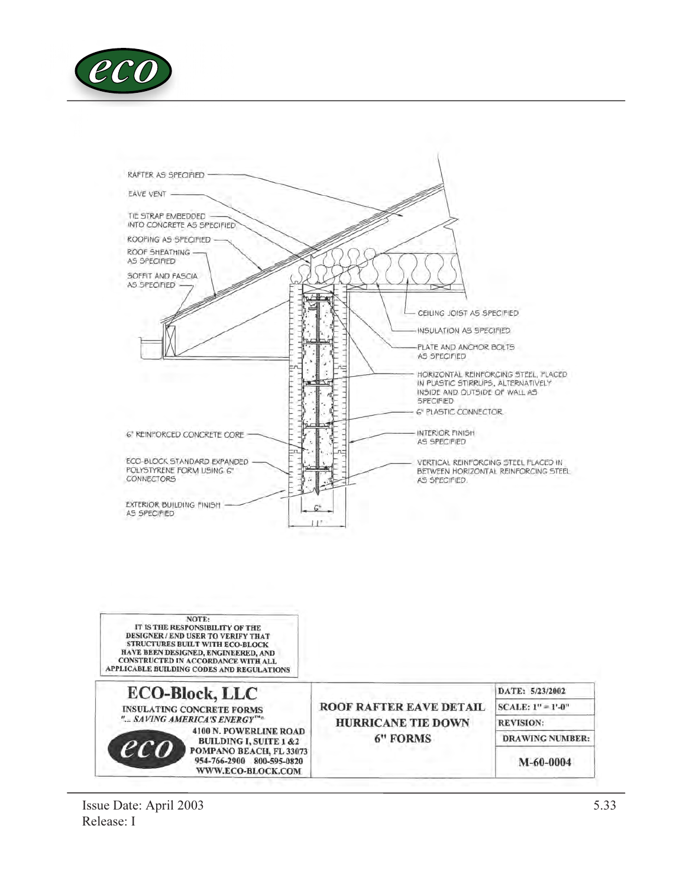

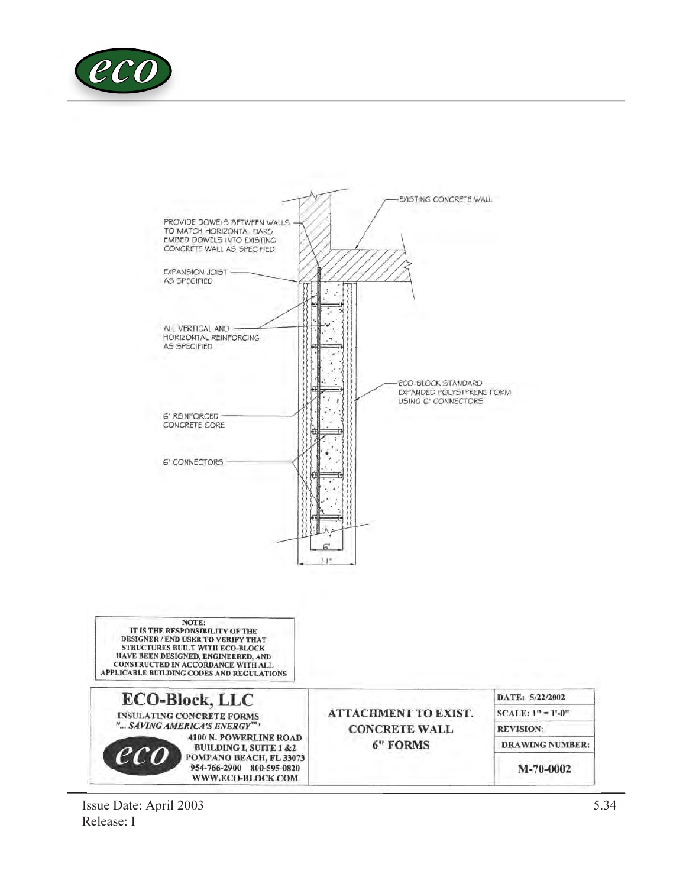